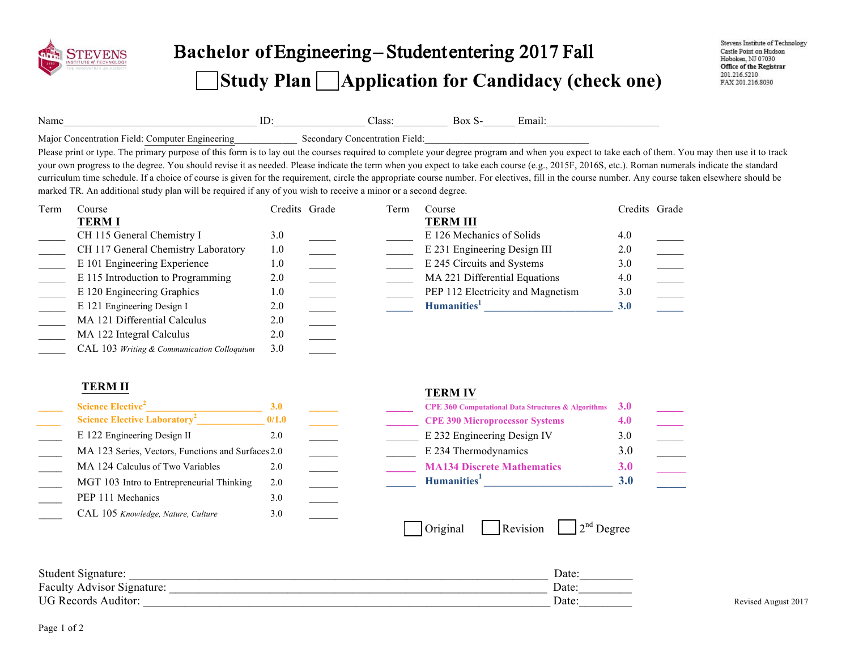

# B**achelor of** Engineering – Student entering 201**7** Fall **Study Plan Application for Candidacy (check one)**

| Name                                              | ≖ |                                      | `mar |  |
|---------------------------------------------------|---|--------------------------------------|------|--|
| Maior,<br>۱۵۱۰-<br>Computer Engineering<br>cation |   | centration<br>Field<br>$\sim$ $\sim$ |      |  |

Please print or type. The primary purpose of this form is to lay out the courses required to complete your degree program and when you expect to take each of them. You may then use it to track your own progress to the degree. You should revise it as needed. Please indicate the term when you expect to take each course (e.g., 2015F, 2016S, etc.). Roman numerals indicate the standard curriculum time schedule. If a choice of course is given for the requirement, circle the appropriate course number. For electives, fill in the course number. Any course taken elsewhere should be marked TR. An additional study plan will be required if any of you wish to receive a minor or a second degree.

| Term | Course                                     | Credits Grade | Term | Course                            | Credits Grade |  |
|------|--------------------------------------------|---------------|------|-----------------------------------|---------------|--|
|      | <b>TERMI</b>                               |               |      | <b>TERM III</b>                   |               |  |
|      | CH 115 General Chemistry I                 | 3.0           |      | E 126 Mechanics of Solids         | 4.0           |  |
|      | CH 117 General Chemistry Laboratory        | 1.0           |      | E 231 Engineering Design III      | 2.0           |  |
|      | E 101 Engineering Experience               | 1.0           |      | E 245 Circuits and Systems        | 3.0           |  |
|      | E 115 Introduction to Programming          | 2.0           |      | MA 221 Differential Equations     | 4.0           |  |
|      | E 120 Engineering Graphics                 | 1.0           |      | PEP 112 Electricity and Magnetism | 3.0           |  |
|      | E 121 Engineering Design I                 | 2.0           |      | Humanities <sup>1</sup>           | 3.0           |  |
|      | MA 121 Differential Calculus               | 2.0           |      |                                   |               |  |
|      | MA 122 Integral Calculus                   | 2.0           |      |                                   |               |  |
|      | CAL 103 Writing & Communication Colloquium | 3.0           |      |                                   |               |  |

### **TERM II TERM IV**

| <b>Science Elective<sup>2</sup></b>                | <b>3.0</b> |  |
|----------------------------------------------------|------------|--|
| <b>Science Elective Laboratory<sup>2</sup></b>     | 0/1.0      |  |
| E 122 Engineering Design II                        | 2.0        |  |
| MA 123 Series, Vectors, Functions and Surfaces 2.0 |            |  |
| MA 124 Calculus of Two Variables                   | 2.0        |  |
| MGT 103 Intro to Entrepreneurial Thinking          | 2.0        |  |
| PEP 111 Mechanics                                  | 3.0        |  |
| CAL 105 Knowledge, Nature, Culture                 | 3.0        |  |

| Science Elective <sup>2</sup>                      |       |  | <b>CPE 360 Computational Data Structures &amp; Algorithms</b> $3.0$ |     |  |
|----------------------------------------------------|-------|--|---------------------------------------------------------------------|-----|--|
| <b>Science Elective Laboratory<sup>2</sup></b>     | 0/1.0 |  | <b>CPE 390 Microprocessor Systems</b>                               |     |  |
| E 122 Engineering Design II                        |       |  | E 232 Engineering Design IV                                         | 3.0 |  |
| MA 123 Series, Vectors, Functions and Surfaces 2.0 |       |  | E 234 Thermodynamics                                                |     |  |
| MA 124 Calculus of Two Variables                   |       |  | <b>MA134 Discrete Mathematics</b>                                   | 3.0 |  |
| MGT 103 Intro to Entrepreneurial Thinking          | 2.0   |  | Humanities <sup>1</sup>                                             |     |  |

| $2nd$ Degree<br>l Original<br><i><u><b>Revision</b></u></i> |
|-------------------------------------------------------------|
|-------------------------------------------------------------|

Student Signature: \_\_\_\_\_\_\_\_\_\_\_\_\_\_\_\_\_\_\_\_\_\_\_\_\_\_\_\_\_\_\_\_\_\_\_\_\_\_\_\_\_\_\_\_\_\_\_\_\_\_\_\_\_\_\_\_\_\_\_\_\_\_\_\_\_\_\_\_\_\_\_ Date:\_\_\_\_\_\_\_\_\_ Faculty Advisor Signature: \_\_\_\_\_\_\_\_\_\_\_\_\_\_\_\_\_\_\_\_\_\_\_\_\_\_\_\_\_\_\_\_\_\_\_\_\_\_\_\_\_\_\_\_\_\_\_\_\_\_\_\_\_\_\_\_\_\_\_\_\_\_\_\_ Date:\_\_\_\_\_\_\_\_\_ UG Records Auditor: Revised August 2017